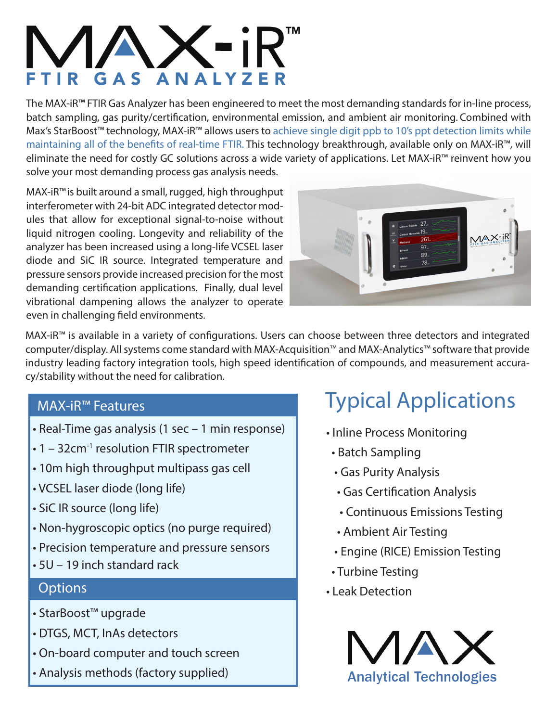# $\prod_{\text{YZER}}^{\bullet} R^{\text{TM}}$ FTIR GAS ANALYZER

The MAX-iR™ FTIR Gas Analyzer has been engineered to meet the most demanding standards for in-line process, batch sampling, gas purity/certification, environmental emission, and ambient air monitoring. Combined with Max's StarBoost<sup>™</sup> technology, MAX-iR<sup>™</sup> allows users to achieve single digit ppb to 10's ppt detection limits while maintaining all of the benefits of real-time FTIR. This technology breakthrough, available only on MAX-iR™, will eliminate the need for costly GC solutions across a wide variety of applications. Let MAX-iR™ reinvent how you solve your most demanding process gas analysis needs.

MAX-iR™is built around a small, rugged, high throughput interferometer with 24-bit ADC integrated detector modules that allow for exceptional signal-to-noise without liquid nitrogen cooling. Longevity and reliability of the analyzer has been increased using a long-life VCSEL laser diode and SiC IR source. Integrated temperature and pressure sensors provide increased precision for the most demanding certification applications. Finally, dual level vibrational dampening allows the analyzer to operate even in challenging field environments.



MAX-iR™ is available in a variety of configurations. Users can choose between three detectors and integrated computer/display. All systems come standard with MAX-Acquisition™ and MAX-Analytics™ software that provide industry leading factory integration tools, high speed identification of compounds, and measurement accuracy/stability without the need for calibration.

#### **MAX-iR™ Features**

- **Real-Time gas analysis (1 sec 1 min response)**
- **1 32cm-1 resolution FTIR spectrometer**
- **10m high throughput multipass gas cell**
- **VCSEL laser diode (long life)**
- **SiC IR source (long life)**
- **Non-hygroscopic optics (no purge required)**
- **Precision temperature and pressure sensors**
- **5U 19 inch standard rack**

#### **Options**

- **StarBoost™ upgrade**
- **DTGS, MCT, InAs detectors**
- **On-board computer and touch screen**
- **Analysis methods (factory supplied)**

# **Typical Applications**

- **Inline Process Monitoring**
- **Batch Sampling**
- **Gas Purity Analysis**
- **Gas Certication Analysis**
- **Continuous Emissions Testing**
- **Ambient Air Testing**
- **Engine (RICE) Emission Testing**
- **Turbine Testing**
- **Leak Detection**